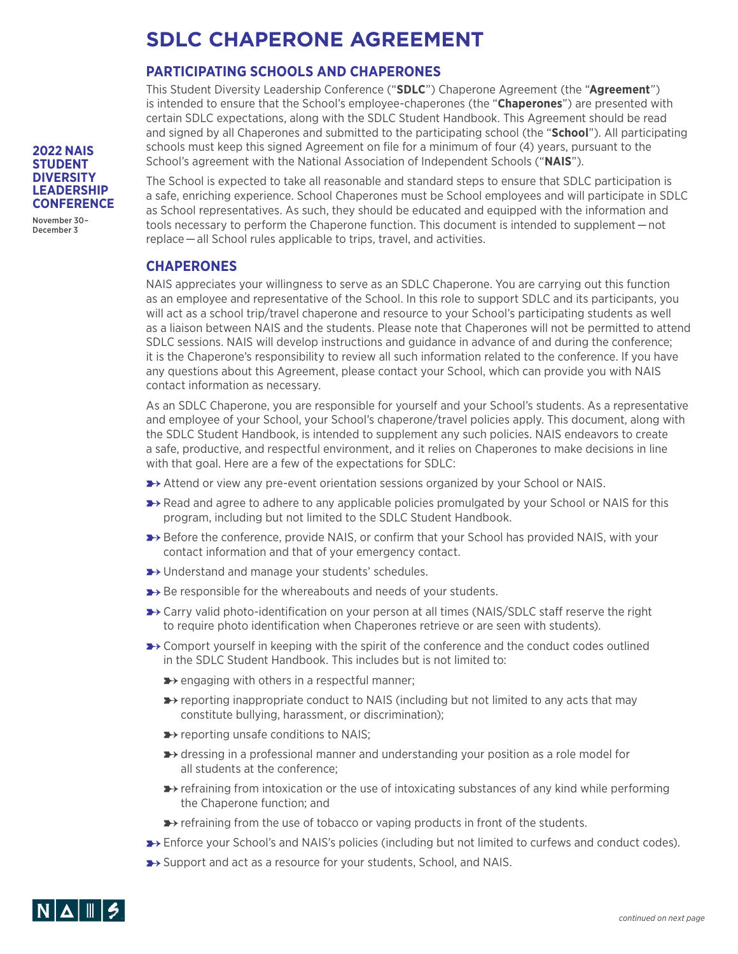## **SDLC CHAPERONE AGREEMENT**

### **PARTICIPATING SCHOOLS AND CHAPERONES**

This Student Diversity Leadership Conference ("**SDLC**") Chaperone Agreement (the "**Agreement**") is intended to ensure that the School's employee-chaperones (the "**Chaperones**") are presented with certain SDLC expectations, along with the SDLC Student Handbook. This Agreement should be read and signed by all Chaperones and submitted to the participating school (the "**School**"). All participating schools must keep this signed Agreement on file for a minimum of four (4) years, pursuant to the School's agreement with the National Association of Independent Schools ("**NAIS**").

The School is expected to take all reasonable and standard steps to ensure that SDLC participation is a safe, enriching experience. School Chaperones must be School employees and will participate in SDLC as School representatives. As such, they should be educated and equipped with the information and tools necessary to perform the Chaperone function. This document is intended to supplement — not replace — all School rules applicable to trips, travel, and activities.

### **CHAPERONES**

NAIS appreciates your willingness to serve as an SDLC Chaperone. You are carrying out this function as an employee and representative of the School. In this role to support SDLC and its participants, you will act as a school trip/travel chaperone and resource to your School's participating students as well as a liaison between NAIS and the students. Please note that Chaperones will not be permitted to attend SDLC sessions. NAIS will develop instructions and guidance in advance of and during the conference; it is the Chaperone's responsibility to review all such information related to the conference. If you have any questions about this Agreement, please contact your School, which can provide you with NAIS contact information as necessary.

As an SDLC Chaperone, you are responsible for yourself and your School's students. As a representative and employee of your School, your School's chaperone/travel policies apply. This document, along with the SDLC Student Handbook, is intended to supplement any such policies. NAIS endeavors to create a safe, productive, and respectful environment, and it relies on Chaperones to make decisions in line with that goal. Here are a few of the expectations for SDLC:

- **E** Attend or view any pre-event orientation sessions organized by your School or NAIS.
- **►**> Read and agree to adhere to any applicable policies promulgated by your School or NAIS for this program, including but not limited to the SDLC Student Handbook.
- **E** Before the conference, provide NAIS, or confirm that your School has provided NAIS, with your contact information and that of your emergency contact.
- **▶** Understand and manage your students' schedules.
- **►** Be responsible for the whereabouts and needs of your students.
- → Carry valid photo-identification on your person at all times (NAIS/SDLC staff reserve the right to require photo identification when Chaperones retrieve or are seen with students).
- **►**> Comport yourself in keeping with the spirit of the conference and the conduct codes outlined in the SDLC Student Handbook. This includes but is not limited to:
	- **►** engaging with others in a respectful manner;
	- **E** reporting inappropriate conduct to NAIS (including but not limited to any acts that may constitute bullying, harassment, or discrimination);
	- **▶ reporting unsafe conditions to NAIS;**
	- **→** dressing in a professional manner and understanding your position as a role model for all students at the conference;
	- → refraining from intoxication or the use of intoxicating substances of any kind while performing the Chaperone function; and
	- **►**> refraining from the use of tobacco or vaping products in front of the students.
- → Enforce your School's and NAIS's policies (including but not limited to curfews and conduct codes).
- ▶ Support and act as a resource for your students, School, and NAIS.



**2022 NAIS STUDENT DIVERSITY LEADERSHIP CONFERENCE**

November 30– December 3